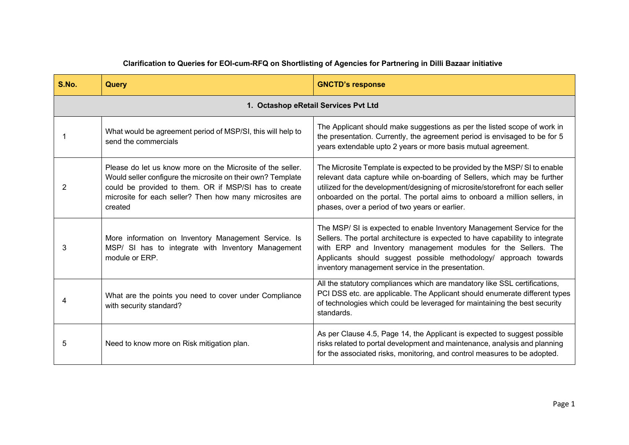| S.No. | Query                                                                                                                                                                                                                                                    | <b>GNCTD's response</b>                                                                                                                                                                                                                                                                                                                                                |
|-------|----------------------------------------------------------------------------------------------------------------------------------------------------------------------------------------------------------------------------------------------------------|------------------------------------------------------------------------------------------------------------------------------------------------------------------------------------------------------------------------------------------------------------------------------------------------------------------------------------------------------------------------|
|       |                                                                                                                                                                                                                                                          | 1. Octashop eRetail Services Pvt Ltd                                                                                                                                                                                                                                                                                                                                   |
|       | What would be agreement period of MSP/SI, this will help to<br>send the commercials                                                                                                                                                                      | The Applicant should make suggestions as per the listed scope of work in<br>the presentation. Currently, the agreement period is envisaged to be for 5<br>years extendable upto 2 years or more basis mutual agreement.                                                                                                                                                |
| 2     | Please do let us know more on the Microsite of the seller.<br>Would seller configure the microsite on their own? Template<br>could be provided to them. OR if MSP/SI has to create<br>microsite for each seller? Then how many microsites are<br>created | The Microsite Template is expected to be provided by the MSP/SI to enable<br>relevant data capture while on-boarding of Sellers, which may be further<br>utilized for the development/designing of microsite/storefront for each seller<br>onboarded on the portal. The portal aims to onboard a million sellers, in<br>phases, over a period of two years or earlier. |
| 3     | More information on Inventory Management Service. Is<br>MSP/ SI has to integrate with Inventory Management<br>module or ERP.                                                                                                                             | The MSP/SI is expected to enable Inventory Management Service for the<br>Sellers. The portal architecture is expected to have capability to integrate<br>with ERP and Inventory management modules for the Sellers. The<br>Applicants should suggest possible methodology/ approach towards<br>inventory management service in the presentation.                       |
|       | What are the points you need to cover under Compliance<br>with security standard?                                                                                                                                                                        | All the statutory compliances which are mandatory like SSL certifications,<br>PCI DSS etc. are applicable. The Applicant should enumerate different types<br>of technologies which could be leveraged for maintaining the best security<br>standards.                                                                                                                  |
| 5     | Need to know more on Risk mitigation plan.                                                                                                                                                                                                               | As per Clause 4.5, Page 14, the Applicant is expected to suggest possible<br>risks related to portal development and maintenance, analysis and planning<br>for the associated risks, monitoring, and control measures to be adopted.                                                                                                                                   |

## **Clarification to Queries for EOI-cum-RFQ on Shortlisting of Agencies for Partnering in Dilli Bazaar initiative**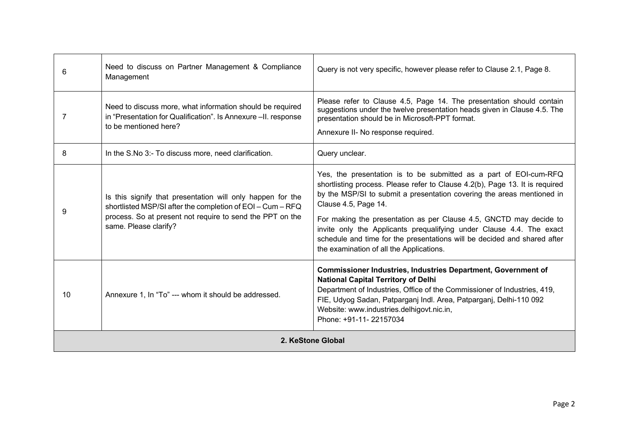| 6                 | Need to discuss on Partner Management & Compliance<br>Management                                                                                                                                               | Query is not very specific, however please refer to Clause 2.1, Page 8.                                                                                                                                                                                                                                                                                                                                                                                                                                                   |
|-------------------|----------------------------------------------------------------------------------------------------------------------------------------------------------------------------------------------------------------|---------------------------------------------------------------------------------------------------------------------------------------------------------------------------------------------------------------------------------------------------------------------------------------------------------------------------------------------------------------------------------------------------------------------------------------------------------------------------------------------------------------------------|
| 7                 | Need to discuss more, what information should be required<br>in "Presentation for Qualification". Is Annexure -II. response<br>to be mentioned here?                                                           | Please refer to Clause 4.5, Page 14. The presentation should contain<br>suggestions under the twelve presentation heads given in Clause 4.5. The<br>presentation should be in Microsoft-PPT format.<br>Annexure II- No response required.                                                                                                                                                                                                                                                                                 |
| 8                 | In the S.No 3:- To discuss more, need clarification.                                                                                                                                                           | Query unclear.                                                                                                                                                                                                                                                                                                                                                                                                                                                                                                            |
| 9                 | Is this signify that presentation will only happen for the<br>shortlisted MSP/SI after the completion of EOI - Cum - RFQ<br>process. So at present not require to send the PPT on the<br>same. Please clarify? | Yes, the presentation is to be submitted as a part of EOI-cum-RFQ<br>shortlisting process. Please refer to Clause 4.2(b), Page 13. It is required<br>by the MSP/SI to submit a presentation covering the areas mentioned in<br>Clause 4.5, Page 14.<br>For making the presentation as per Clause 4.5, GNCTD may decide to<br>invite only the Applicants prequalifying under Clause 4.4. The exact<br>schedule and time for the presentations will be decided and shared after<br>the examination of all the Applications. |
| 10                | Annexure 1, In "To" --- whom it should be addressed.                                                                                                                                                           | <b>Commissioner Industries, Industries Department, Government of</b><br><b>National Capital Territory of Delhi</b><br>Department of Industries, Office of the Commissioner of Industries, 419,<br>FIE, Udyog Sadan, Patparganj Indl. Area, Patparganj, Delhi-110 092<br>Website: www.industries.delhigovt.nic.in,<br>Phone: +91-11-22157034                                                                                                                                                                               |
| 2. KeStone Global |                                                                                                                                                                                                                |                                                                                                                                                                                                                                                                                                                                                                                                                                                                                                                           |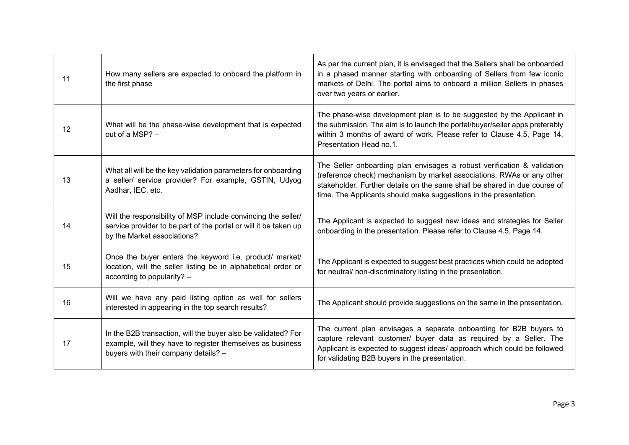| 11 | How many sellers are expected to onboard the platform in<br>the first phase                                                                                         | As per the current plan, it is envisaged that the Sellers shall be onboarded<br>in a phased manner starting with onboarding of Sellers from few iconic<br>markets of Delhi. The portal aims to onboard a million Sellers in phases<br>over two years or earlier.                                   |
|----|---------------------------------------------------------------------------------------------------------------------------------------------------------------------|----------------------------------------------------------------------------------------------------------------------------------------------------------------------------------------------------------------------------------------------------------------------------------------------------|
| 12 | What will be the phase-wise development that is expected<br>out of a MSP? -                                                                                         | The phase-wise development plan is to be suggested by the Applicant in<br>the submission. The aim is to launch the portal/buyer/seller apps preferably<br>within 3 months of award of work. Please refer to Clause 4.5, Page 14,<br>Presentation Head no.1.                                        |
| 13 | What all will be the key validation parameters for onboarding<br>a seller/ service provider? For example, GSTIN, Udyog<br>Aadhar, IEC, etc.                         | The Seller onboarding plan envisages a robust verification & validation<br>(reference check) mechanism by market associations, RWAs or any other<br>stakeholder. Further details on the same shall be shared in due course of<br>time. The Applicants should make suggestions in the presentation. |
| 14 | Will the responsibility of MSP include convincing the seller/<br>service provider to be part of the portal or will it be taken up<br>by the Market associations?    | The Applicant is expected to suggest new ideas and strategies for Seller<br>onboarding in the presentation. Please refer to Clause 4.5, Page 14.                                                                                                                                                   |
| 15 | Once the buyer enters the keyword i.e. product/ market/<br>location, will the seller listing be in alphabetical order or<br>according to popularity? -              | The Applicant is expected to suggest best practices which could be adopted<br>for neutral/ non-discriminatory listing in the presentation.                                                                                                                                                         |
| 16 | Will we have any paid listing option as well for sellers<br>interested in appearing in the top search results?                                                      | The Applicant should provide suggestions on the same in the presentation.                                                                                                                                                                                                                          |
| 17 | In the B2B transaction, will the buyer also be validated? For<br>example, will they have to register themselves as business<br>buyers with their company details? - | The current plan envisages a separate onboarding for B2B buyers to<br>capture relevant customer/ buyer data as required by a Seller. The<br>Applicant is expected to suggest ideas/ approach which could be followed<br>for validating B2B buyers in the presentation.                             |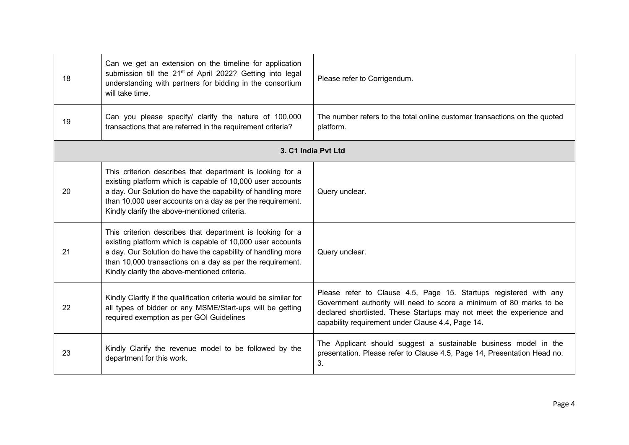| 18 | Can we get an extension on the timeline for application<br>submission till the 21 <sup>st</sup> of April 2022? Getting into legal<br>understanding with partners for bidding in the consortium<br>will take time.                                                                                    | Please refer to Corrigendum.                                                                                                                                                                                                                                          |
|----|------------------------------------------------------------------------------------------------------------------------------------------------------------------------------------------------------------------------------------------------------------------------------------------------------|-----------------------------------------------------------------------------------------------------------------------------------------------------------------------------------------------------------------------------------------------------------------------|
| 19 | Can you please specify/ clarify the nature of 100,000<br>transactions that are referred in the requirement criteria?                                                                                                                                                                                 | The number refers to the total online customer transactions on the quoted<br>platform.                                                                                                                                                                                |
|    |                                                                                                                                                                                                                                                                                                      | 3. C1 India Pvt Ltd                                                                                                                                                                                                                                                   |
| 20 | This criterion describes that department is looking for a<br>existing platform which is capable of 10,000 user accounts<br>a day. Our Solution do have the capability of handling more<br>than 10,000 user accounts on a day as per the requirement.<br>Kindly clarify the above-mentioned criteria. | Query unclear.                                                                                                                                                                                                                                                        |
| 21 | This criterion describes that department is looking for a<br>existing platform which is capable of 10,000 user accounts<br>a day. Our Solution do have the capability of handling more<br>than 10,000 transactions on a day as per the requirement.<br>Kindly clarify the above-mentioned criteria.  | Query unclear.                                                                                                                                                                                                                                                        |
| 22 | Kindly Clarify if the qualification criteria would be similar for<br>all types of bidder or any MSME/Start-ups will be getting<br>required exemption as per GOI Guidelines                                                                                                                           | Please refer to Clause 4.5, Page 15. Startups registered with any<br>Government authority will need to score a minimum of 80 marks to be<br>declared shortlisted. These Startups may not meet the experience and<br>capability requirement under Clause 4.4, Page 14. |
| 23 | Kindly Clarify the revenue model to be followed by the<br>department for this work.                                                                                                                                                                                                                  | The Applicant should suggest a sustainable business model in the<br>presentation. Please refer to Clause 4.5, Page 14, Presentation Head no.<br>3.                                                                                                                    |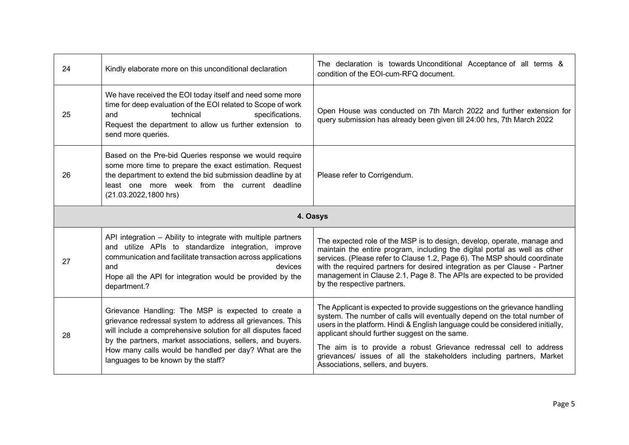| 24 | Kindly elaborate more on this unconditional declaration                                                                                                                                                                                                                                                                                         | The declaration is towards Unconditional Acceptance of all terms &<br>condition of the EOI-cum-RFQ document.                                                                                                                                                                                                                                                                                                                                                                    |
|----|-------------------------------------------------------------------------------------------------------------------------------------------------------------------------------------------------------------------------------------------------------------------------------------------------------------------------------------------------|---------------------------------------------------------------------------------------------------------------------------------------------------------------------------------------------------------------------------------------------------------------------------------------------------------------------------------------------------------------------------------------------------------------------------------------------------------------------------------|
| 25 | We have received the EOI today itself and need some more<br>time for deep evaluation of the EOI related to Scope of work<br>technical<br>specifications.<br>and<br>Request the department to allow us further extension to<br>send more queries.                                                                                                | Open House was conducted on 7th March 2022 and further extension for<br>query submission has already been given till 24:00 hrs, 7th March 2022                                                                                                                                                                                                                                                                                                                                  |
| 26 | Based on the Pre-bid Queries response we would require<br>some more time to prepare the exact estimation. Request<br>the department to extend the bid submission deadline by at<br>least one more week from the current deadline<br>(21.03.2022,1800 hrs)                                                                                       | Please refer to Corrigendum.                                                                                                                                                                                                                                                                                                                                                                                                                                                    |
|    |                                                                                                                                                                                                                                                                                                                                                 | 4. Oasys                                                                                                                                                                                                                                                                                                                                                                                                                                                                        |
| 27 | API integration - Ability to integrate with multiple partners<br>and utilize APIs to standardize integration, improve<br>communication and facilitate transaction across applications<br>devices<br>and<br>Hope all the API for integration would be provided by the<br>department.?                                                            | The expected role of the MSP is to design, develop, operate, manage and<br>maintain the entire program, including the digital portal as well as other<br>services. (Please refer to Clause 1.2, Page 6). The MSP should coordinate<br>with the required partners for desired integration as per Clause - Partner<br>management in Clause 2.1, Page 8. The APIs are expected to be provided<br>by the respective partners.                                                       |
| 28 | Grievance Handling: The MSP is expected to create a<br>grievance redressal system to address all grievances. This<br>will include a comprehensive solution for all disputes faced<br>by the partners, market associations, sellers, and buyers.<br>How many calls would be handled per day? What are the<br>languages to be known by the staff? | The Applicant is expected to provide suggestions on the grievance handling<br>system. The number of calls will eventually depend on the total number of<br>users in the platform. Hindi & English language could be considered initially,<br>applicant should further suggest on the same.<br>The aim is to provide a robust Grievance redressal cell to address<br>grievances/ issues of all the stakeholders including partners, Market<br>Associations, sellers, and buyers. |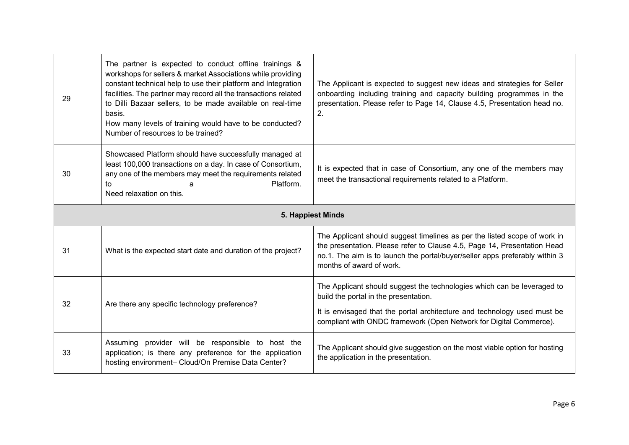| 29                | The partner is expected to conduct offline trainings &<br>workshops for sellers & market Associations while providing<br>constant technical help to use their platform and Integration<br>facilities. The partner may record all the transactions related<br>to Dilli Bazaar sellers, to be made available on real-time<br>basis.<br>How many levels of training would have to be conducted?<br>Number of resources to be trained? | The Applicant is expected to suggest new ideas and strategies for Seller<br>onboarding including training and capacity building programmes in the<br>presentation. Please refer to Page 14, Clause 4.5, Presentation head no.<br>2.                                |
|-------------------|------------------------------------------------------------------------------------------------------------------------------------------------------------------------------------------------------------------------------------------------------------------------------------------------------------------------------------------------------------------------------------------------------------------------------------|--------------------------------------------------------------------------------------------------------------------------------------------------------------------------------------------------------------------------------------------------------------------|
| 30                | Showcased Platform should have successfully managed at<br>least 100,000 transactions on a day. In case of Consortium,<br>any one of the members may meet the requirements related<br>Platform.<br>to<br>a<br>Need relaxation on this.                                                                                                                                                                                              | It is expected that in case of Consortium, any one of the members may<br>meet the transactional requirements related to a Platform.                                                                                                                                |
| 5. Happiest Minds |                                                                                                                                                                                                                                                                                                                                                                                                                                    |                                                                                                                                                                                                                                                                    |
| 31                | What is the expected start date and duration of the project?                                                                                                                                                                                                                                                                                                                                                                       | The Applicant should suggest timelines as per the listed scope of work in<br>the presentation. Please refer to Clause 4.5, Page 14, Presentation Head<br>no.1. The aim is to launch the portal/buyer/seller apps preferably within 3<br>months of award of work.   |
| 32                | Are there any specific technology preference?                                                                                                                                                                                                                                                                                                                                                                                      | The Applicant should suggest the technologies which can be leveraged to<br>build the portal in the presentation.<br>It is envisaged that the portal architecture and technology used must be<br>compliant with ONDC framework (Open Network for Digital Commerce). |
| 33                | Assuming provider will be responsible to host the<br>application; is there any preference for the application                                                                                                                                                                                                                                                                                                                      | The Applicant should give suggestion on the most viable option for hosting                                                                                                                                                                                         |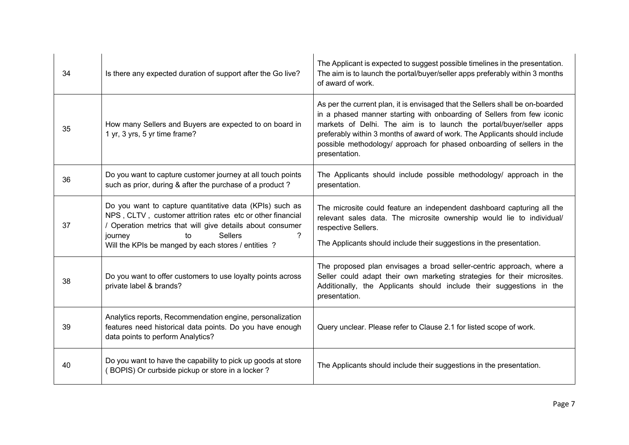| 34 | Is there any expected duration of support after the Go live?                                                                                                                                                                                                                 | The Applicant is expected to suggest possible timelines in the presentation.<br>The aim is to launch the portal/buyer/seller apps preferably within 3 months<br>of award of work.                                                                                                                                                                                                                       |
|----|------------------------------------------------------------------------------------------------------------------------------------------------------------------------------------------------------------------------------------------------------------------------------|---------------------------------------------------------------------------------------------------------------------------------------------------------------------------------------------------------------------------------------------------------------------------------------------------------------------------------------------------------------------------------------------------------|
| 35 | How many Sellers and Buyers are expected to on board in<br>1 yr, 3 yrs, 5 yr time frame?                                                                                                                                                                                     | As per the current plan, it is envisaged that the Sellers shall be on-boarded<br>in a phased manner starting with onboarding of Sellers from few iconic<br>markets of Delhi. The aim is to launch the portal/buyer/seller apps<br>preferably within 3 months of award of work. The Applicants should include<br>possible methodology/ approach for phased onboarding of sellers in the<br>presentation. |
| 36 | Do you want to capture customer journey at all touch points<br>such as prior, during & after the purchase of a product?                                                                                                                                                      | The Applicants should include possible methodology/ approach in the<br>presentation.                                                                                                                                                                                                                                                                                                                    |
| 37 | Do you want to capture quantitative data (KPIs) such as<br>NPS, CLTV, customer attrition rates etc or other financial<br>/ Operation metrics that will give details about consumer<br><b>Sellers</b><br>journey<br>to<br>Will the KPIs be manged by each stores / entities ? | The microsite could feature an independent dashboard capturing all the<br>relevant sales data. The microsite ownership would lie to individual/<br>respective Sellers.<br>The Applicants should include their suggestions in the presentation.                                                                                                                                                          |
| 38 | Do you want to offer customers to use loyalty points across<br>private label & brands?                                                                                                                                                                                       | The proposed plan envisages a broad seller-centric approach, where a<br>Seller could adapt their own marketing strategies for their microsites.<br>Additionally, the Applicants should include their suggestions in the<br>presentation.                                                                                                                                                                |
| 39 | Analytics reports, Recommendation engine, personalization<br>features need historical data points. Do you have enough<br>data points to perform Analytics?                                                                                                                   | Query unclear. Please refer to Clause 2.1 for listed scope of work.                                                                                                                                                                                                                                                                                                                                     |
| 40 | Do you want to have the capability to pick up goods at store<br>(BOPIS) Or curbside pickup or store in a locker?                                                                                                                                                             | The Applicants should include their suggestions in the presentation.                                                                                                                                                                                                                                                                                                                                    |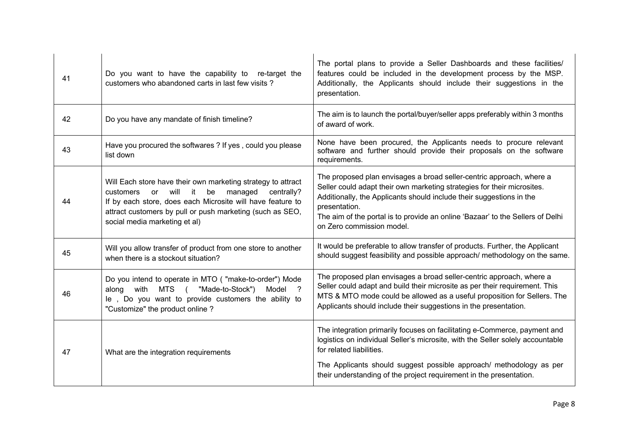| 41 | Do you want to have the capability to re-target the<br>customers who abandoned carts in last few visits?                                                                                                                                                                        | The portal plans to provide a Seller Dashboards and these facilities/<br>features could be included in the development process by the MSP.<br>Additionally, the Applicants should include their suggestions in the<br>presentation.                                                                                                                     |
|----|---------------------------------------------------------------------------------------------------------------------------------------------------------------------------------------------------------------------------------------------------------------------------------|---------------------------------------------------------------------------------------------------------------------------------------------------------------------------------------------------------------------------------------------------------------------------------------------------------------------------------------------------------|
| 42 | Do you have any mandate of finish timeline?                                                                                                                                                                                                                                     | The aim is to launch the portal/buyer/seller apps preferably within 3 months<br>of award of work.                                                                                                                                                                                                                                                       |
| 43 | Have you procured the softwares ? If yes, could you please<br>list down                                                                                                                                                                                                         | None have been procured, the Applicants needs to procure relevant<br>software and further should provide their proposals on the software<br>requirements.                                                                                                                                                                                               |
| 44 | Will Each store have their own marketing strategy to attract<br>customers or will it<br>managed<br>centrally?<br>be<br>If by each store, does each Microsite will have feature to<br>attract customers by pull or push marketing (such as SEO,<br>social media marketing et al) | The proposed plan envisages a broad seller-centric approach, where a<br>Seller could adapt their own marketing strategies for their microsites.<br>Additionally, the Applicants should include their suggestions in the<br>presentation.<br>The aim of the portal is to provide an online 'Bazaar' to the Sellers of Delhi<br>on Zero commission model. |
| 45 | Will you allow transfer of product from one store to another<br>when there is a stockout situation?                                                                                                                                                                             | It would be preferable to allow transfer of products. Further, the Applicant<br>should suggest feasibility and possible approach/ methodology on the same.                                                                                                                                                                                              |
| 46 | Do you intend to operate in MTO ( "make-to-order") Mode<br>along with MTS (<br>"Made-to-Stock")<br>Model ?<br>le, Do you want to provide customers the ability to<br>"Customize" the product online?                                                                            | The proposed plan envisages a broad seller-centric approach, where a<br>Seller could adapt and build their microsite as per their requirement. This<br>MTS & MTO mode could be allowed as a useful proposition for Sellers. The<br>Applicants should include their suggestions in the presentation.                                                     |
| 47 | What are the integration requirements                                                                                                                                                                                                                                           | The integration primarily focuses on facilitating e-Commerce, payment and<br>logistics on individual Seller's microsite, with the Seller solely accountable<br>for related liabilities.<br>The Applicants should suggest possible approach/ methodology as per<br>their understanding of the project requirement in the presentation.                   |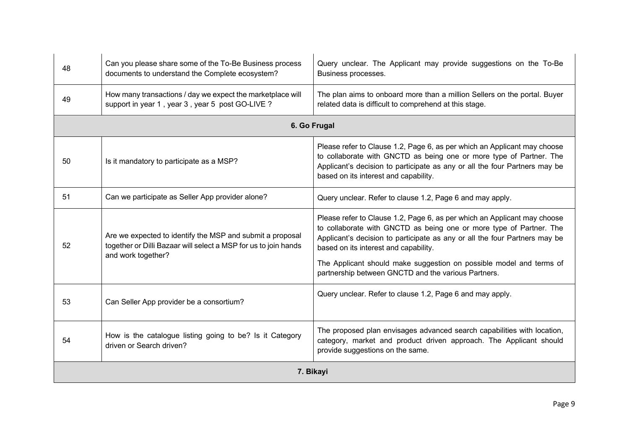| 48        | Can you please share some of the To-Be Business process<br>documents to understand the Complete ecosystem?                                         | Query unclear. The Applicant may provide suggestions on the To-Be<br>Business processes.                                                                                                                                                                                                                                                                                                             |
|-----------|----------------------------------------------------------------------------------------------------------------------------------------------------|------------------------------------------------------------------------------------------------------------------------------------------------------------------------------------------------------------------------------------------------------------------------------------------------------------------------------------------------------------------------------------------------------|
| 49        | How many transactions / day we expect the marketplace will<br>support in year 1, year 3, year 5 post GO-LIVE?                                      | The plan aims to onboard more than a million Sellers on the portal. Buyer<br>related data is difficult to comprehend at this stage.                                                                                                                                                                                                                                                                  |
|           |                                                                                                                                                    | 6. Go Frugal                                                                                                                                                                                                                                                                                                                                                                                         |
| 50        | Is it mandatory to participate as a MSP?                                                                                                           | Please refer to Clause 1.2, Page 6, as per which an Applicant may choose<br>to collaborate with GNCTD as being one or more type of Partner. The<br>Applicant's decision to participate as any or all the four Partners may be<br>based on its interest and capability.                                                                                                                               |
| 51        | Can we participate as Seller App provider alone?                                                                                                   | Query unclear. Refer to clause 1.2, Page 6 and may apply.                                                                                                                                                                                                                                                                                                                                            |
| 52        | Are we expected to identify the MSP and submit a proposal<br>together or Dilli Bazaar will select a MSP for us to join hands<br>and work together? | Please refer to Clause 1.2, Page 6, as per which an Applicant may choose<br>to collaborate with GNCTD as being one or more type of Partner. The<br>Applicant's decision to participate as any or all the four Partners may be<br>based on its interest and capability.<br>The Applicant should make suggestion on possible model and terms of<br>partnership between GNCTD and the various Partners. |
| 53        | Can Seller App provider be a consortium?                                                                                                           | Query unclear. Refer to clause 1.2, Page 6 and may apply.                                                                                                                                                                                                                                                                                                                                            |
| 54        | How is the catalogue listing going to be? Is it Category<br>driven or Search driven?                                                               | The proposed plan envisages advanced search capabilities with location,<br>category, market and product driven approach. The Applicant should<br>provide suggestions on the same.                                                                                                                                                                                                                    |
| 7. Bikayi |                                                                                                                                                    |                                                                                                                                                                                                                                                                                                                                                                                                      |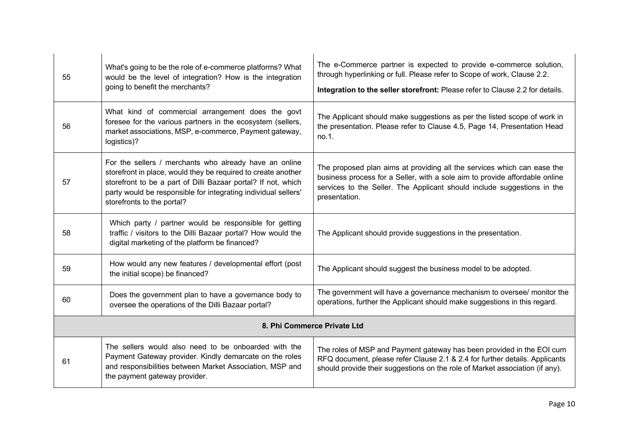| 55                          | What's going to be the role of e-commerce platforms? What<br>would be the level of integration? How is the integration<br>going to benefit the merchants?                                                                                                                                | The e-Commerce partner is expected to provide e-commerce solution,<br>through hyperlinking or full. Please refer to Scope of work, Clause 2.2.<br>Integration to the seller storefront: Please refer to Clause 2.2 for details.                    |
|-----------------------------|------------------------------------------------------------------------------------------------------------------------------------------------------------------------------------------------------------------------------------------------------------------------------------------|----------------------------------------------------------------------------------------------------------------------------------------------------------------------------------------------------------------------------------------------------|
| 56                          | What kind of commercial arrangement does the govt<br>foresee for the various partners in the ecosystem (sellers,<br>market associations, MSP, e-commerce, Payment gateway,<br>logistics)?                                                                                                | The Applicant should make suggestions as per the listed scope of work in<br>the presentation. Please refer to Clause 4.5, Page 14, Presentation Head<br>no.1.                                                                                      |
| 57                          | For the sellers / merchants who already have an online<br>storefront in place, would they be required to create another<br>storefront to be a part of Dilli Bazaar portal? If not, which<br>party would be responsible for integrating individual sellers'<br>storefronts to the portal? | The proposed plan aims at providing all the services which can ease the<br>business process for a Seller, with a sole aim to provide affordable online<br>services to the Seller. The Applicant should include suggestions in the<br>presentation. |
| 58                          | Which party / partner would be responsible for getting<br>traffic / visitors to the Dilli Bazaar portal? How would the<br>digital marketing of the platform be financed?                                                                                                                 | The Applicant should provide suggestions in the presentation.                                                                                                                                                                                      |
| 59                          | How would any new features / developmental effort (post<br>the initial scope) be financed?                                                                                                                                                                                               | The Applicant should suggest the business model to be adopted.                                                                                                                                                                                     |
| 60                          | Does the government plan to have a governance body to<br>oversee the operations of the Dilli Bazaar portal?                                                                                                                                                                              | The government will have a governance mechanism to oversee/ monitor the<br>operations, further the Applicant should make suggestions in this regard.                                                                                               |
| 8. Phi Commerce Private Ltd |                                                                                                                                                                                                                                                                                          |                                                                                                                                                                                                                                                    |
| 61                          | The sellers would also need to be onboarded with the<br>Payment Gateway provider. Kindly demarcate on the roles<br>and responsibilities between Market Association, MSP and<br>the payment gateway provider.                                                                             | The roles of MSP and Payment gateway has been provided in the EOI cum<br>RFQ document, please refer Clause 2.1 & 2.4 for further details. Applicants<br>should provide their suggestions on the role of Market association (if any).               |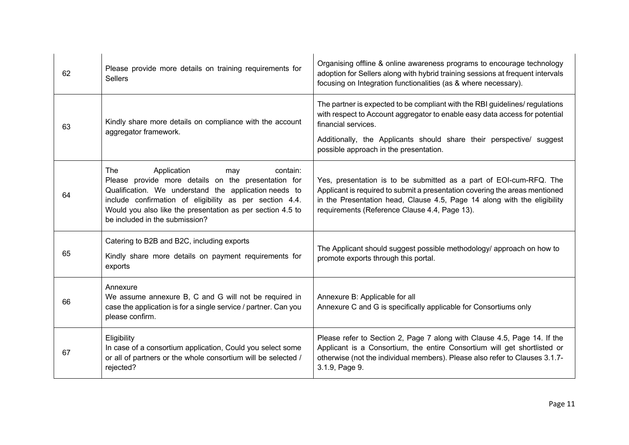| 62 | Please provide more details on training requirements for<br><b>Sellers</b>                                                                                                                                                                                                                                       | Organising offline & online awareness programs to encourage technology<br>adoption for Sellers along with hybrid training sessions at frequent intervals<br>focusing on Integration functionalities (as & where necessary).                                                                          |
|----|------------------------------------------------------------------------------------------------------------------------------------------------------------------------------------------------------------------------------------------------------------------------------------------------------------------|------------------------------------------------------------------------------------------------------------------------------------------------------------------------------------------------------------------------------------------------------------------------------------------------------|
| 63 | Kindly share more details on compliance with the account<br>aggregator framework.                                                                                                                                                                                                                                | The partner is expected to be compliant with the RBI guidelines/ regulations<br>with respect to Account aggregator to enable easy data access for potential<br>financial services.<br>Additionally, the Applicants should share their perspective/ suggest<br>possible approach in the presentation. |
| 64 | Application<br>The<br>contain:<br>may<br>Please provide more details on the presentation for<br>Qualification. We understand the application needs to<br>include confirmation of eligibility as per section 4.4.<br>Would you also like the presentation as per section 4.5 to<br>be included in the submission? | Yes, presentation is to be submitted as a part of EOI-cum-RFQ. The<br>Applicant is required to submit a presentation covering the areas mentioned<br>in the Presentation head, Clause 4.5, Page 14 along with the eligibility<br>requirements (Reference Clause 4.4, Page 13).                       |
| 65 | Catering to B2B and B2C, including exports<br>Kindly share more details on payment requirements for<br>exports                                                                                                                                                                                                   | The Applicant should suggest possible methodology/ approach on how to<br>promote exports through this portal.                                                                                                                                                                                        |
| 66 | Annexure<br>We assume annexure B, C and G will not be required in<br>case the application is for a single service / partner. Can you<br>please confirm.                                                                                                                                                          | Annexure B: Applicable for all<br>Annexure C and G is specifically applicable for Consortiums only                                                                                                                                                                                                   |
| 67 | Eligibility<br>In case of a consortium application, Could you select some<br>or all of partners or the whole consortium will be selected /<br>rejected?                                                                                                                                                          | Please refer to Section 2, Page 7 along with Clause 4.5, Page 14. If the<br>Applicant is a Consortium, the entire Consortium will get shortlisted or<br>otherwise (not the individual members). Please also refer to Clauses 3.1.7-<br>3.1.9, Page 9.                                                |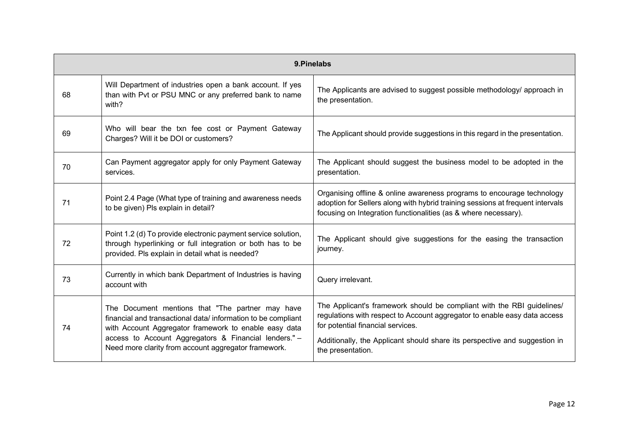| 9. Pinelabs |                                                                                                                                                                                                                                                                                            |                                                                                                                                                                                                                                                                        |
|-------------|--------------------------------------------------------------------------------------------------------------------------------------------------------------------------------------------------------------------------------------------------------------------------------------------|------------------------------------------------------------------------------------------------------------------------------------------------------------------------------------------------------------------------------------------------------------------------|
| 68          | Will Department of industries open a bank account. If yes<br>than with Pvt or PSU MNC or any preferred bank to name<br>with?                                                                                                                                                               | The Applicants are advised to suggest possible methodology/ approach in<br>the presentation.                                                                                                                                                                           |
| 69          | Who will bear the txn fee cost or Payment Gateway<br>Charges? Will it be DOI or customers?                                                                                                                                                                                                 | The Applicant should provide suggestions in this regard in the presentation.                                                                                                                                                                                           |
| 70          | Can Payment aggregator apply for only Payment Gateway<br>services.                                                                                                                                                                                                                         | The Applicant should suggest the business model to be adopted in the<br>presentation.                                                                                                                                                                                  |
| 71          | Point 2.4 Page (What type of training and awareness needs<br>to be given) Pls explain in detail?                                                                                                                                                                                           | Organising offline & online awareness programs to encourage technology<br>adoption for Sellers along with hybrid training sessions at frequent intervals<br>focusing on Integration functionalities (as & where necessary).                                            |
| 72          | Point 1.2 (d) To provide electronic payment service solution,<br>through hyperlinking or full integration or both has to be<br>provided. Pls explain in detail what is needed?                                                                                                             | The Applicant should give suggestions for the easing the transaction<br>journey.                                                                                                                                                                                       |
| 73          | Currently in which bank Department of Industries is having<br>account with                                                                                                                                                                                                                 | Query irrelevant.                                                                                                                                                                                                                                                      |
| 74          | The Document mentions that "The partner may have<br>financial and transactional data/information to be compliant<br>with Account Aggregator framework to enable easy data<br>access to Account Aggregators & Financial lenders." -<br>Need more clarity from account aggregator framework. | The Applicant's framework should be compliant with the RBI guidelines/<br>regulations with respect to Account aggregator to enable easy data access<br>for potential financial services.<br>Additionally, the Applicant should share its perspective and suggestion in |
|             |                                                                                                                                                                                                                                                                                            | the presentation.                                                                                                                                                                                                                                                      |